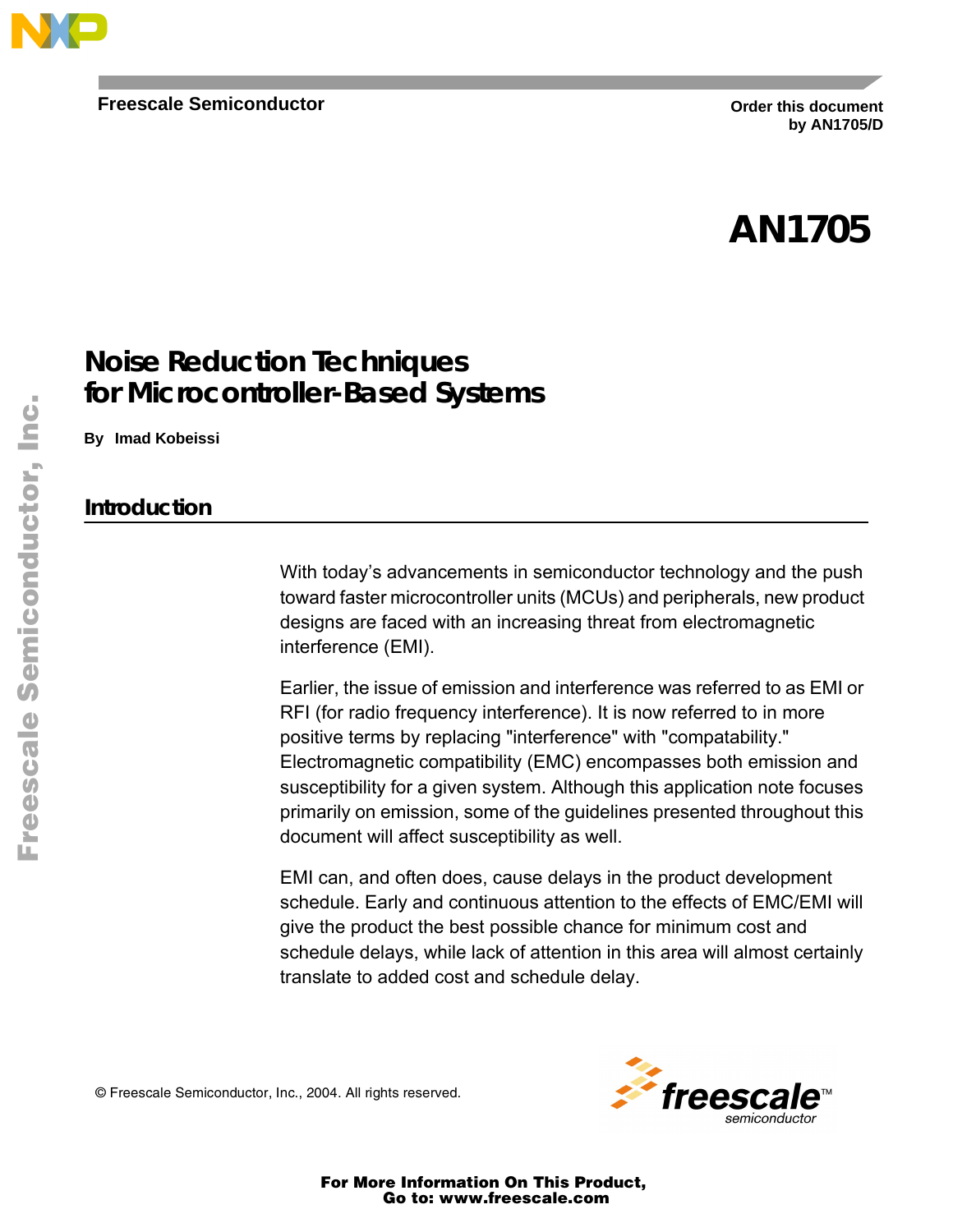

**Order this document by AN1705/D**

# **AN1705**

### **Noise Reduction Techniques for Microcontroller-Based Systems**

**By Imad Kobeissi**

#### **Introduction**

With today's advancements in semiconductor technology and the push toward faster microcontroller units (MCUs) and peripherals, new product designs are faced with an increasing threat from electromagnetic interference (EMI).

Earlier, the issue of emission and interference was referred to as EMI or RFI (for radio frequency interference). It is now referred to in more positive terms by replacing "interference" with "compatability." Electromagnetic compatibility (EMC) encompasses both emission and susceptibility for a given system. Although this application note focuses primarily on emission, some of the guidelines presented throughout this document will affect susceptibility as well.

EMI can, and often does, cause delays in the product development schedule. Early and continuous attention to the effects of EMC/EMI will give the product the best possible chance for minimum cost and schedule delays, while lack of attention in this area will almost certainly translate to added cost and schedule delay.

© Freescale Semiconductor, Inc., 2004. All rights reserved.



For More Information On This Product, Go to: www.freescale.com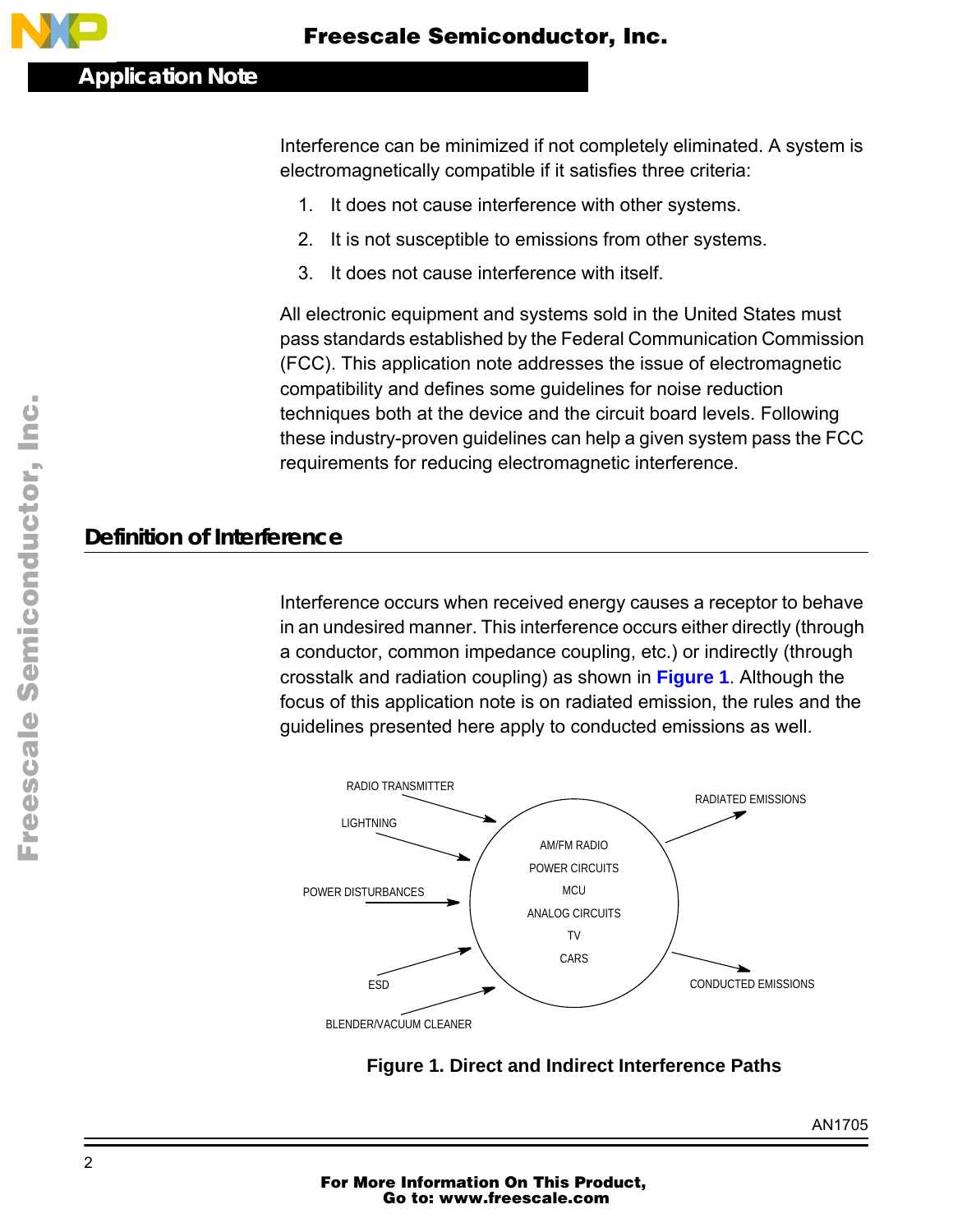Interference can be minimized if not completely eliminated. A system is electromagnetically compatible if it satisfies three criteria:

- 1. It does not cause interference with other systems.
- 2. It is not susceptible to emissions from other systems.
- 3. It does not cause interference with itself.

All electronic equipment and systems sold in the United States must pass standards established by the Federal Communication Commission (FCC). This application note addresses the issue of electromagnetic compatibility and defines some guidelines for noise reduction techniques both at the device and the circuit board levels. Following these industry-proven guidelines can help a given system pass the FCC requirements for reducing electromagnetic interference.

### **Definition of Interference**

Interference occurs when received energy causes a receptor to behave in an undesired manner. This interference occurs either directly (through a conductor, common impedance coupling, etc.) or indirectly (through crosstalk and radiation coupling) as shown in **Figure 1**. Although the focus of this application note is on radiated emission, the rules and the guidelines presented here apply to conducted emissions as well.





Fr $\bf \Phi$  $\bf \Phi$  $\boldsymbol{\theta}$  $\mathbf 0$ 

ale

 $\boldsymbol{g}$  $\bf \Phi$ 

mic

o n d u  $\mathbf 0$ t o

r, I

n

.<br>ق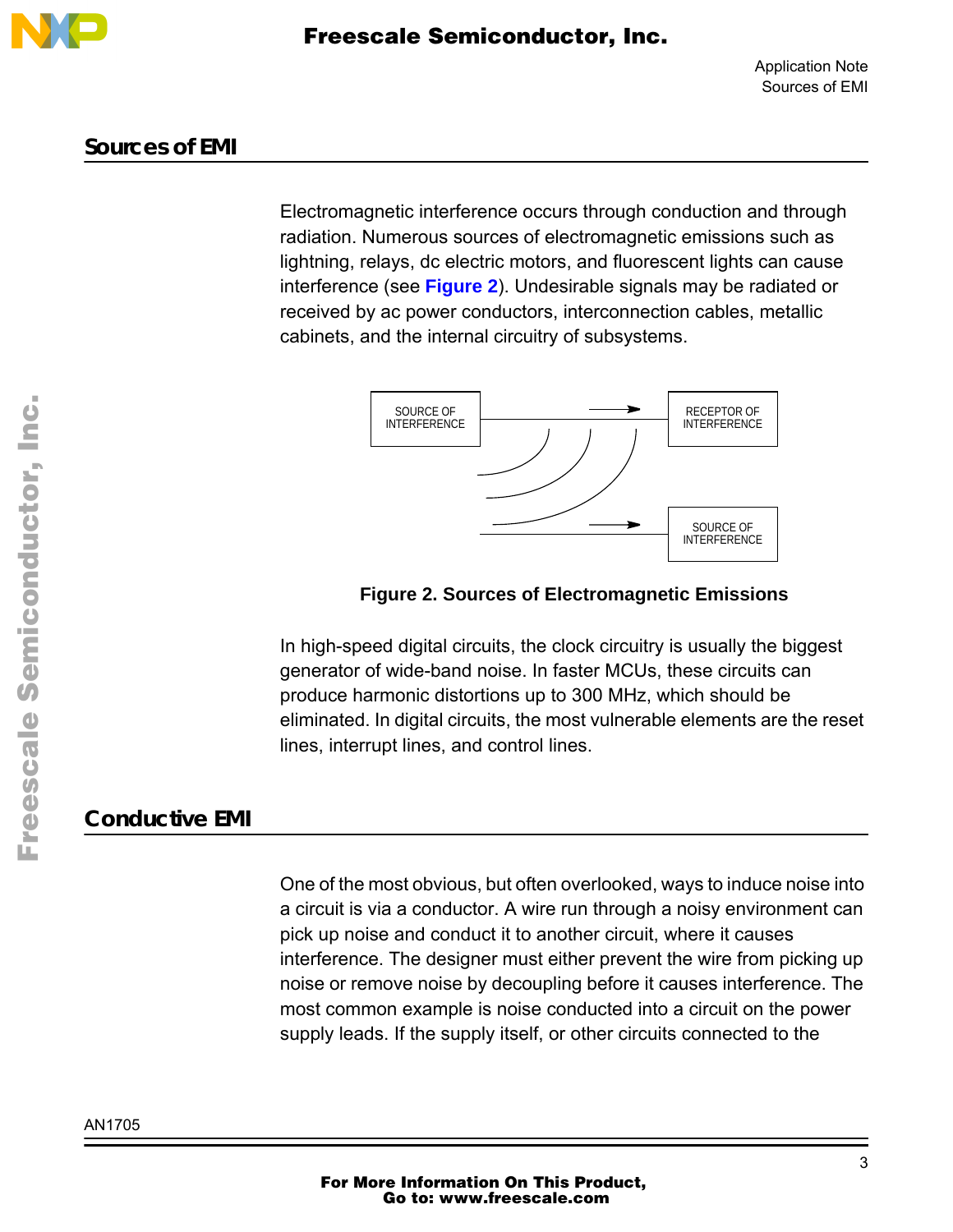

#### **Sources of EMI**

Electromagnetic interference occurs through conduction and through radiation. Numerous sources of electromagnetic emissions such as lightning, relays, dc electric motors, and fluorescent lights can cause interference (see **Figure 2**). Undesirable signals may be radiated or received by ac power conductors, interconnection cables, metallic cabinets, and the internal circuitry of subsystems.



#### **Figure 2. Sources of Electromagnetic Emissions**

In high-speed digital circuits, the clock circuitry is usually the biggest generator of wide-band noise. In faster MCUs, these circuits can produce harmonic distortions up to 300 MHz, which should be eliminated. In digital circuits, the most vulnerable elements are the reset lines, interrupt lines, and control lines.

#### **Conductive EMI**

One of the most obvious, but often overlooked, ways to induce noise into a circuit is via a conductor. A wire run through a noisy environment can pick up noise and conduct it to another circuit, where it causes interference. The designer must either prevent the wire from picking up noise or remove noise by decoupling before it causes interference. The most common example is noise conducted into a circuit on the power supply leads. If the supply itself, or other circuits connected to the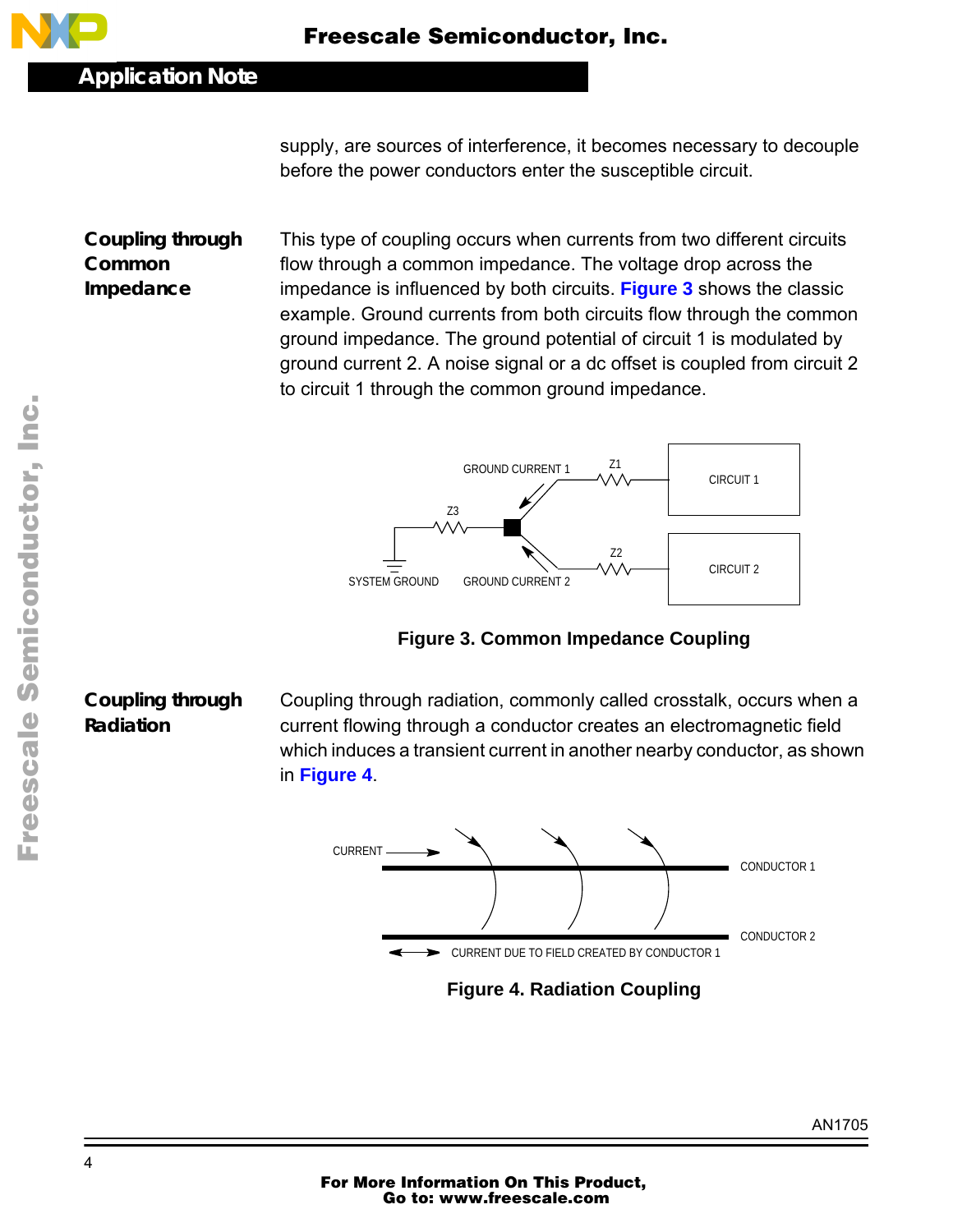

supply, are sources of interference, it becomes necessary to decouple before the power conductors enter the susceptible circuit.

**Coupling through Common Impedance** This type of coupling occurs when currents from two different circuits flow through a common impedance. The voltage drop across the impedance is influenced by both circuits. **Figure 3** shows the classic example. Ground currents from both circuits flow through the common ground impedance. The ground potential of circuit 1 is modulated by ground current 2. A noise signal or a dc offset is coupled from circuit 2 to circuit 1 through the common ground impedance.



**Figure 3. Common Impedance Coupling**

## **Coupling through Radiation**

Coupling through radiation, commonly called crosstalk, occurs when a current flowing through a conductor creates an electromagnetic field which induces a transient current in another nearby conductor, as shown in **Figure 4**.



**Figure 4. Radiation Coupling**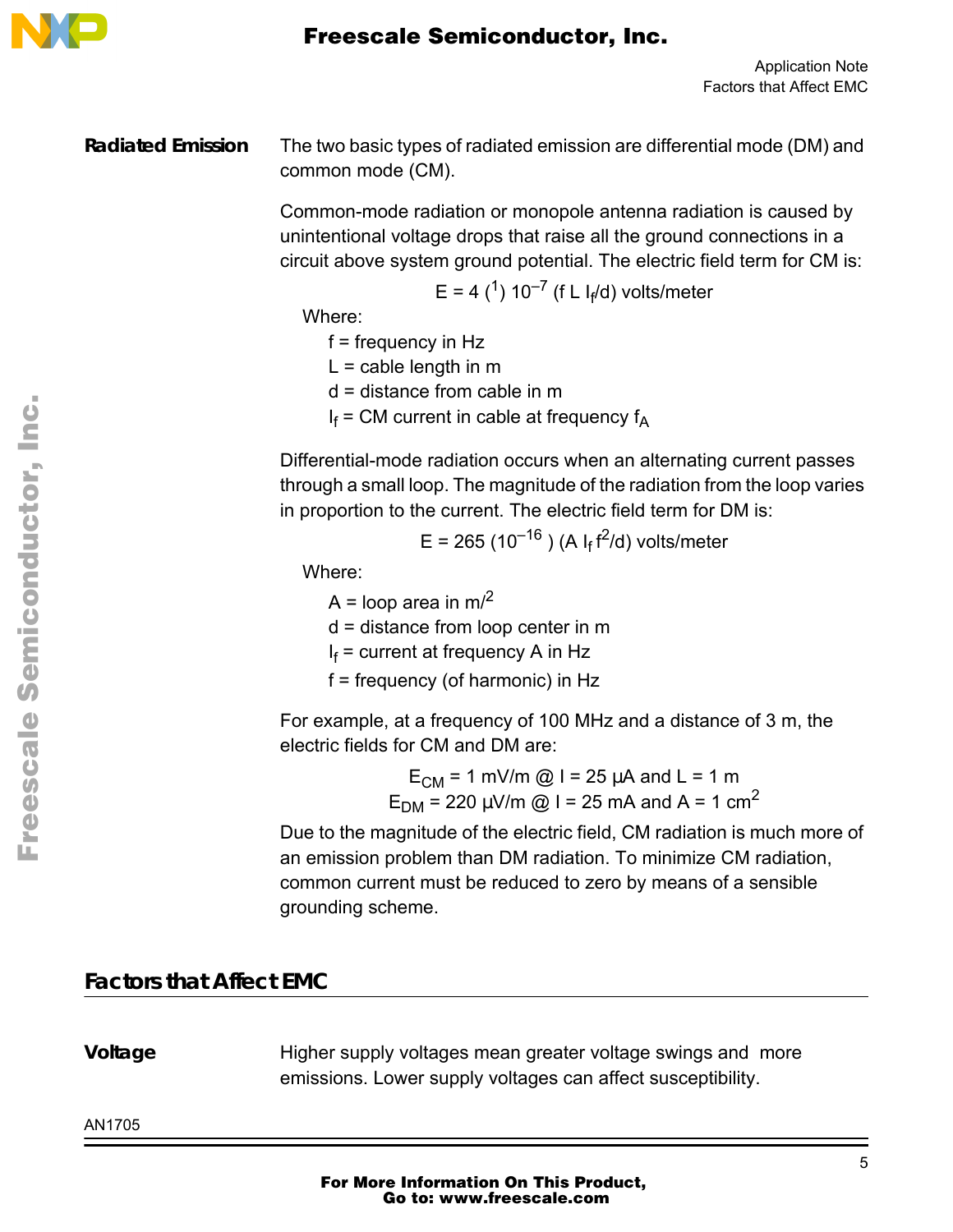

**Radiated Emission** The two basic types of radiated emission are differential mode (DM) and common mode (CM).

> Common-mode radiation or monopole antenna radiation is caused by unintentional voltage drops that raise all the ground connections in a circuit above system ground potential. The electric field term for CM is:

$$
E = 4
$$
  ${^1}$   $10^{-7}$  (f L I<sub>f</sub>/d) volts/meter

Where:

 $f = frequency$  in Hz

 $L =$  cable length in m

d = distance from cable in m

 $I_f$  = CM current in cable at frequency  $f_A$ 

Differential-mode radiation occurs when an alternating current passes through a small loop. The magnitude of the radiation from the loop varies in proportion to the current. The electric field term for DM is:

E = 265 (10<sup>–16</sup> ) (A I<sub>f</sub> f<sup>2</sup>/d) volts/meter

Where:

A = loop area in  $m<sup>2</sup>$ 

d = distance from loop center in m

I<sub>f</sub> = current at frequency A in Hz

f = frequency (of harmonic) in Hz

For example, at a frequency of 100 MHz and a distance of 3 m, the electric fields for CM and DM are:

> $E_{CM} = 1$  mV/m @ I = 25  $\mu$ A and L = 1 m  $E_{DM} = 220 \mu V/m \omega l = 25 \text{ mA}$  and A = 1 cm<sup>2</sup>

Due to the magnitude of the electric field, CM radiation is much more of an emission problem than DM radiation. To minimize CM radiation, common current must be reduced to zero by means of a sensible grounding scheme.

### **Factors that Affect EMC**

**Voltage** Higher supply voltages mean greater voltage swings and more emissions. Lower supply voltages can affect susceptibility.

AN1705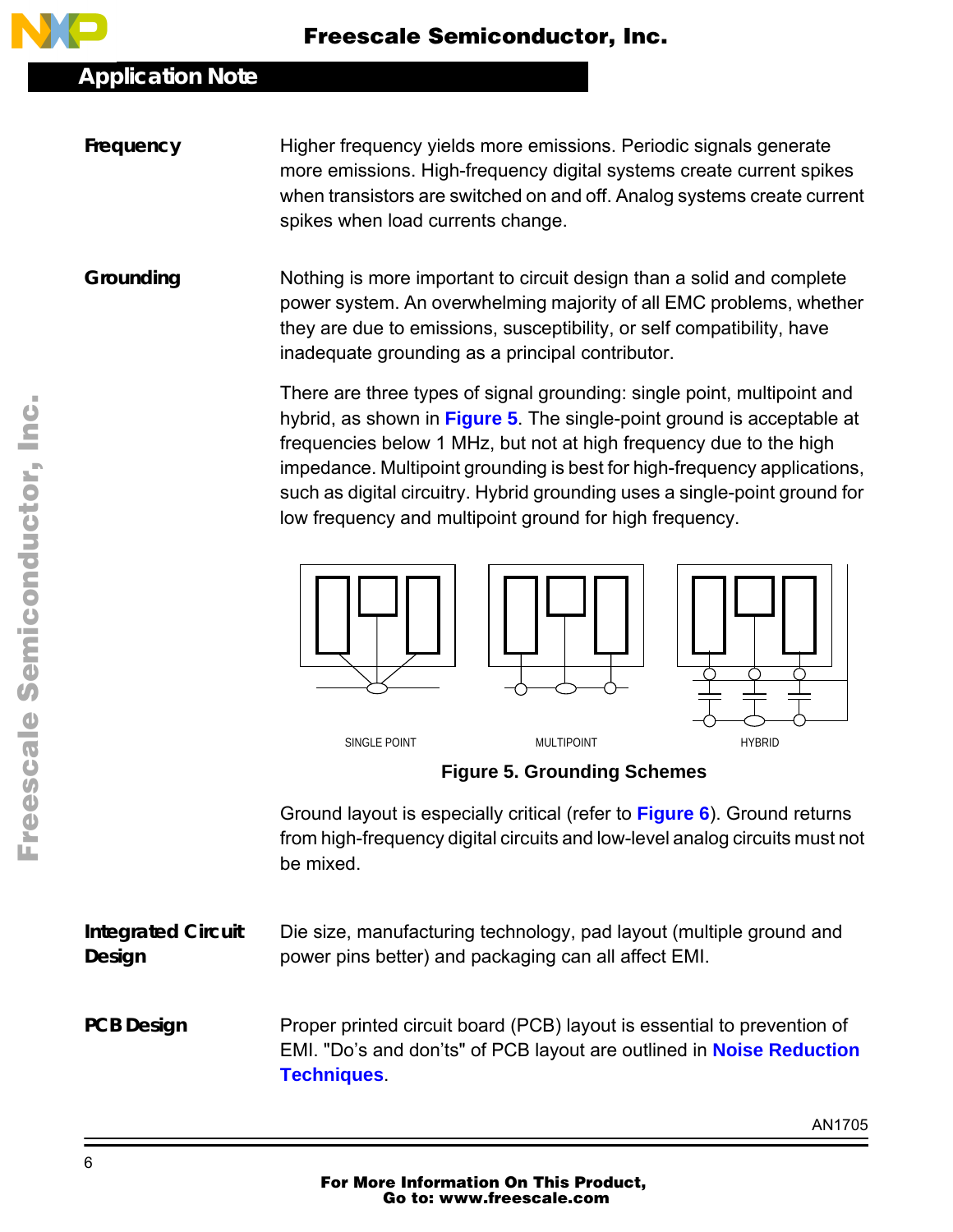

**Frequency** Higher frequency yields more emissions. Periodic signals generate more emissions. High-frequency digital systems create current spikes when transistors are switched on and off. Analog systems create current spikes when load currents change.

**Grounding** Nothing is more important to circuit design than a solid and complete power system. An overwhelming majority of all EMC problems, whether they are due to emissions, susceptibility, or self compatibility, have inadequate grounding as a principal contributor.

> There are three types of signal grounding: single point, multipoint and hybrid, as shown in **Figure 5**. The single-point ground is acceptable at frequencies below 1 MHz, but not at high frequency due to the high impedance. Multipoint grounding is best for high-frequency applications, such as digital circuitry. Hybrid grounding uses a single-point ground for low frequency and multipoint ground for high frequency.



#### **Figure 5. Grounding Schemes**

Ground layout is especially critical (refer to **F[igure 6](#page-6-0)**). Ground returns from high-frequency digital circuits and low-level analog circuits must not be mixed.

**Integrated Circuit Design** Die size, manufacturing technology, pad layout (multiple ground and power pins better) and packaging can all affect EMI.

**PCB Design Proper printed circuit board (PCB) layout is essential to prevention of** EMI. "Do's and don'ts" of PCB layout are outlined in **[Noise Reduction](#page-6-0) [Techniques](#page-6-0)**.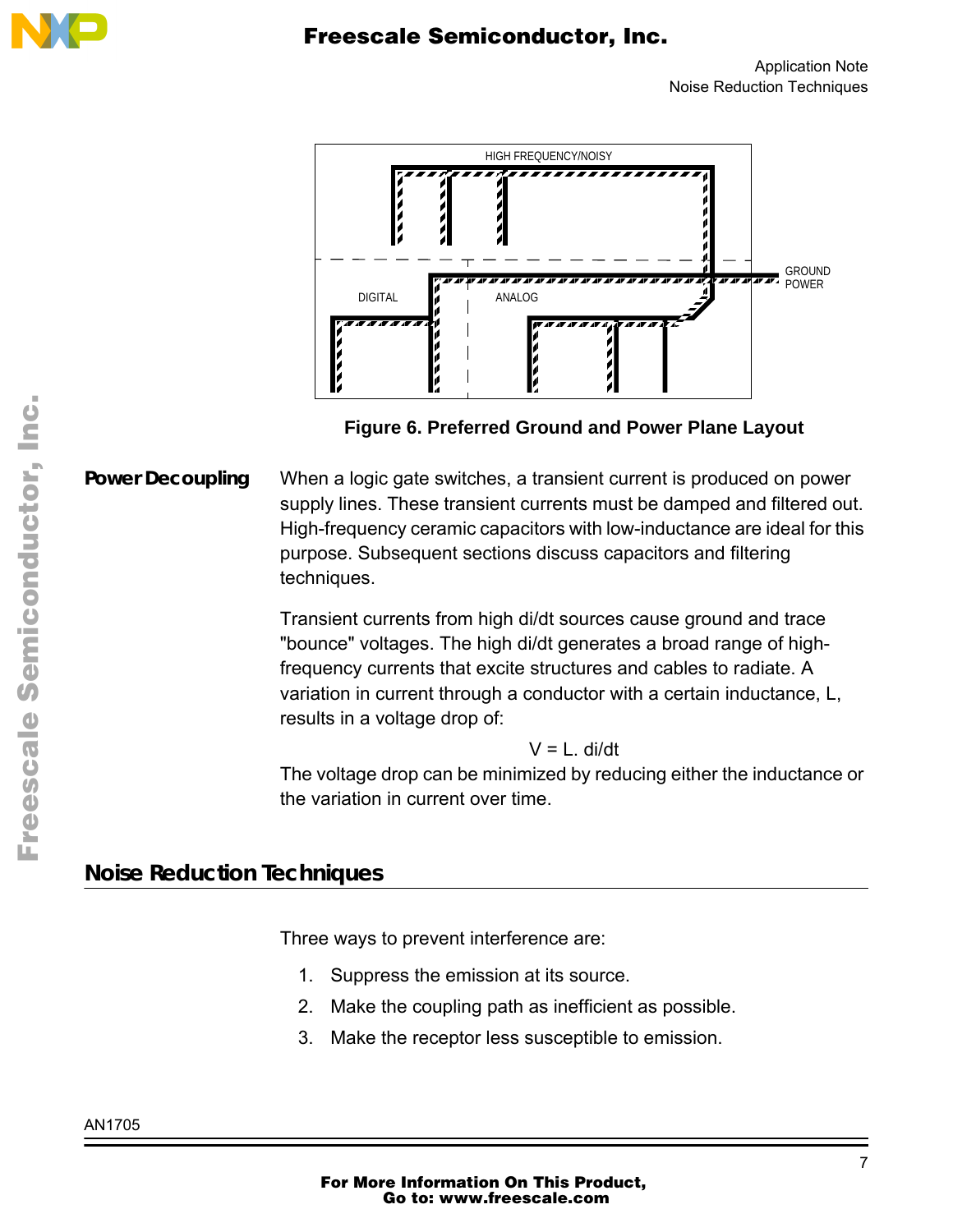<span id="page-6-0"></span>

Application Note Noise Reduction Techniques



**Figure 6. Preferred Ground and Power Plane Layout**

**Power Decoupling** When a logic gate switches, a transient current is produced on power supply lines. These transient currents must be damped and filtered out. High-frequency ceramic capacitors with low-inductance are ideal for this purpose. Subsequent sections discuss capacitors and filtering techniques.

> Transient currents from high di/dt sources cause ground and trace "bounce" voltages. The high di/dt generates a broad range of highfrequency currents that excite structures and cables to radiate. A variation in current through a conductor with a certain inductance, L, results in a voltage drop of:

> > $V = L$ . di/dt

The voltage drop can be minimized by reducing either the inductance or the variation in current over time.

### **Noise Reduction Techniques**

Three ways to prevent interference are:

- 1. Suppress the emission at its source.
- 2. Make the coupling path as inefficient as possible.
- 3. Make the receptor less susceptible to emission.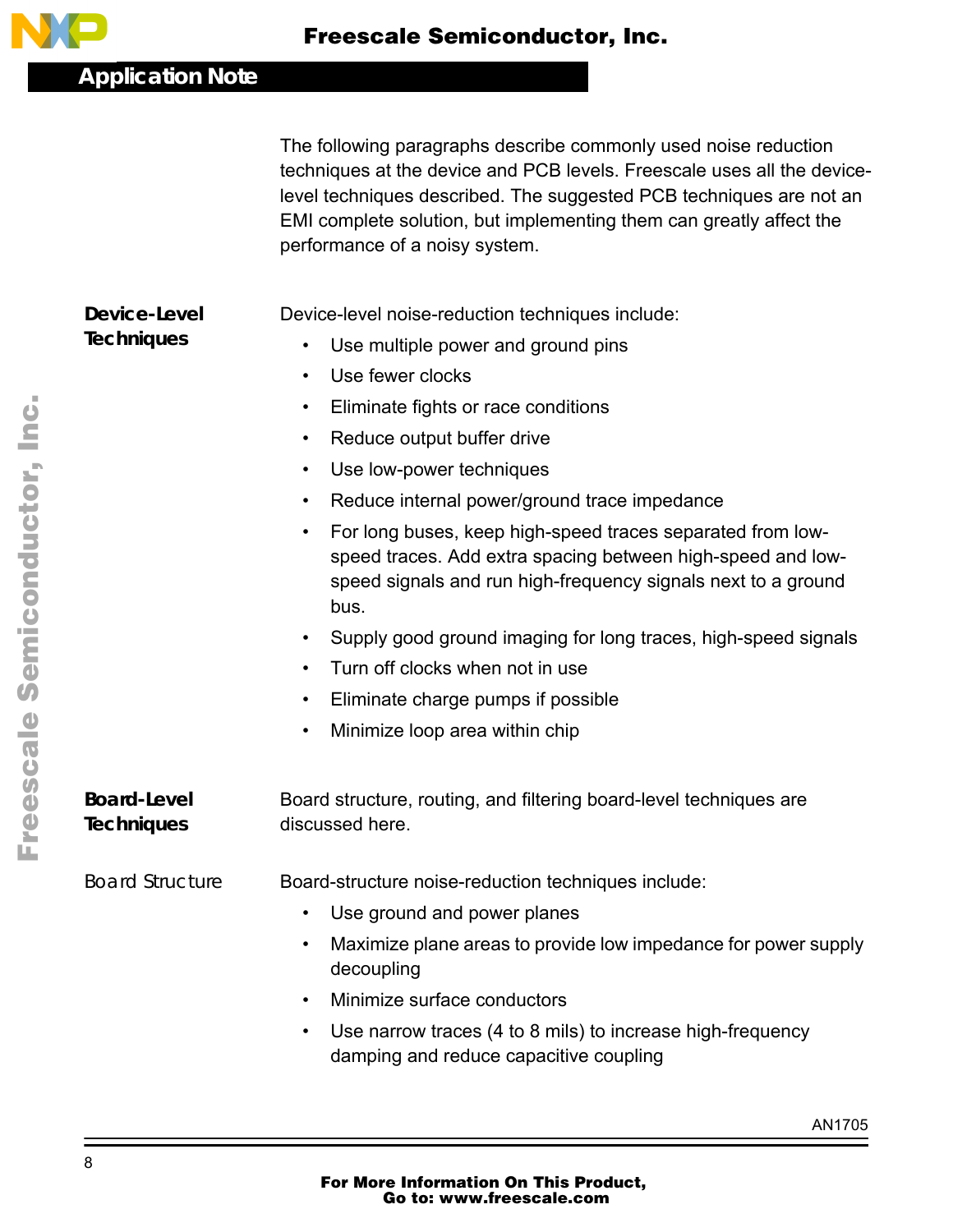

The following paragraphs describe commonly used noise reduction techniques at the device and PCB levels. Freescale uses all the devicelevel techniques described. The suggested PCB techniques are not an EMI complete solution, but implementing them can greatly affect the performance of a noisy system.

**Device-Level Techniques** Device-level noise-reduction techniques include:

- Use multiple power and ground pins
- Use fewer clocks
- Eliminate fights or race conditions
- Reduce output buffer drive
- Use low-power techniques
- Reduce internal power/ground trace impedance
- For long buses, keep high-speed traces separated from lowspeed traces. Add extra spacing between high-speed and lowspeed signals and run high-frequency signals next to a ground bus.
- Supply good ground imaging for long traces, high-speed signals
- Turn off clocks when not in use
- Eliminate charge pumps if possible
- Minimize loop area within chip

**Board-Level Techniques**

Board structure, routing, and filtering board-level techniques are discussed here.

*Board Structure* Board-structure noise-reduction techniques include:

- Use ground and power planes
	- Maximize plane areas to provide low impedance for power supply decoupling
- Minimize surface conductors
- Use narrow traces (4 to 8 mils) to increase high-frequency damping and reduce capacitive coupling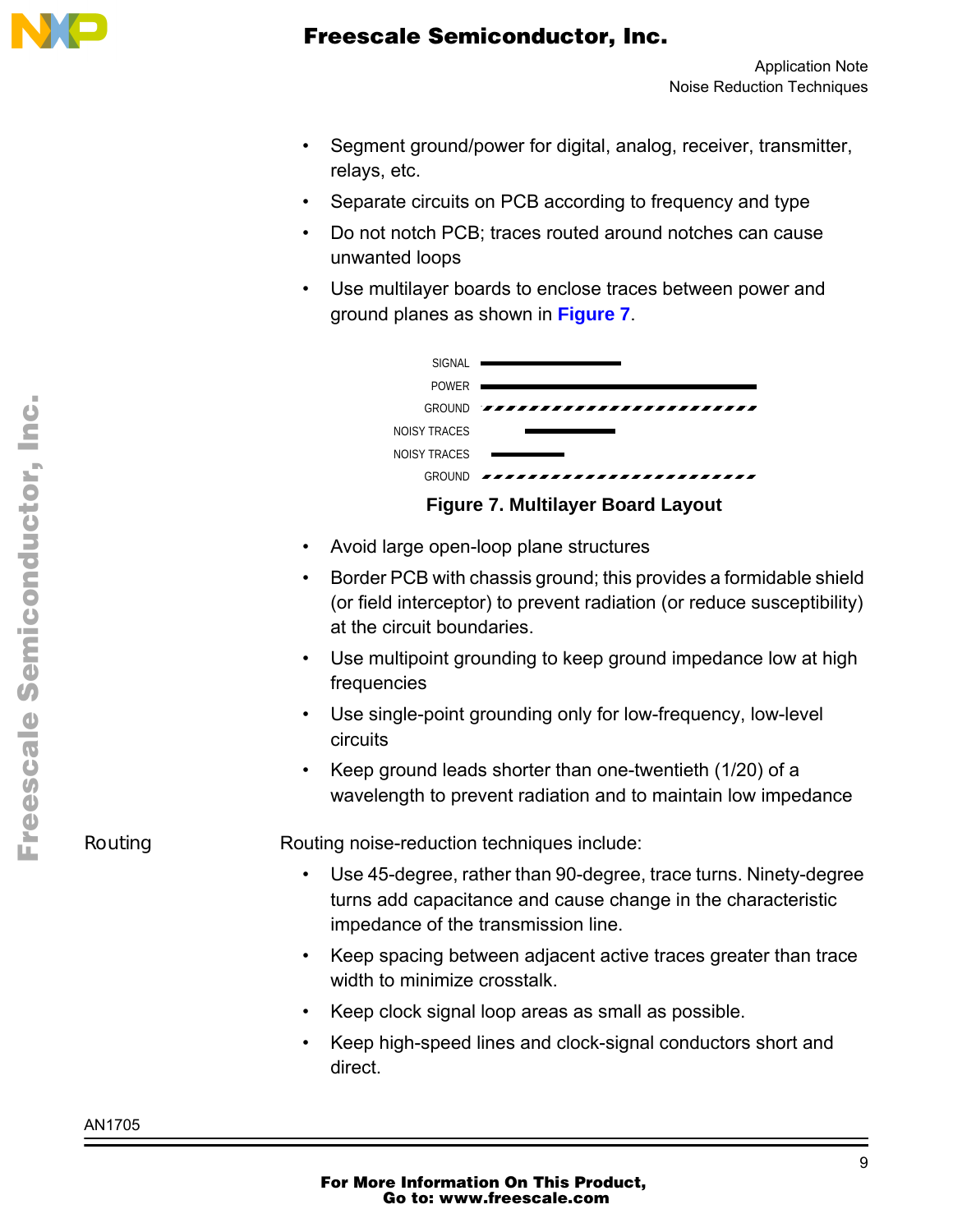

- Segment ground/power for digital, analog, receiver, transmitter, relays, etc.
- Separate circuits on PCB according to frequency and type
- Do not notch PCB; traces routed around notches can cause unwanted loops
- Use multilayer boards to enclose traces between power and ground planes as shown in **Figure 7**.



- Avoid large open-loop plane structures
- Border PCB with chassis ground; this provides a formidable shield (or field interceptor) to prevent radiation (or reduce susceptibility) at the circuit boundaries.
- Use multipoint grounding to keep ground impedance low at high frequencies
- Use single-point grounding only for low-frequency, low-level circuits
- Keep ground leads shorter than one-twentieth (1/20) of a wavelength to prevent radiation and to maintain low impedance

*Routing* **Routing noise-reduction techniques include:** 

- Use 45-degree, rather than 90-degree, trace turns. Ninety-degree turns add capacitance and cause change in the characteristic impedance of the transmission line.
- Keep spacing between adjacent active traces greater than trace width to minimize crosstalk.
- Keep clock signal loop areas as small as possible.
- Keep high-speed lines and clock-signal conductors short and direct.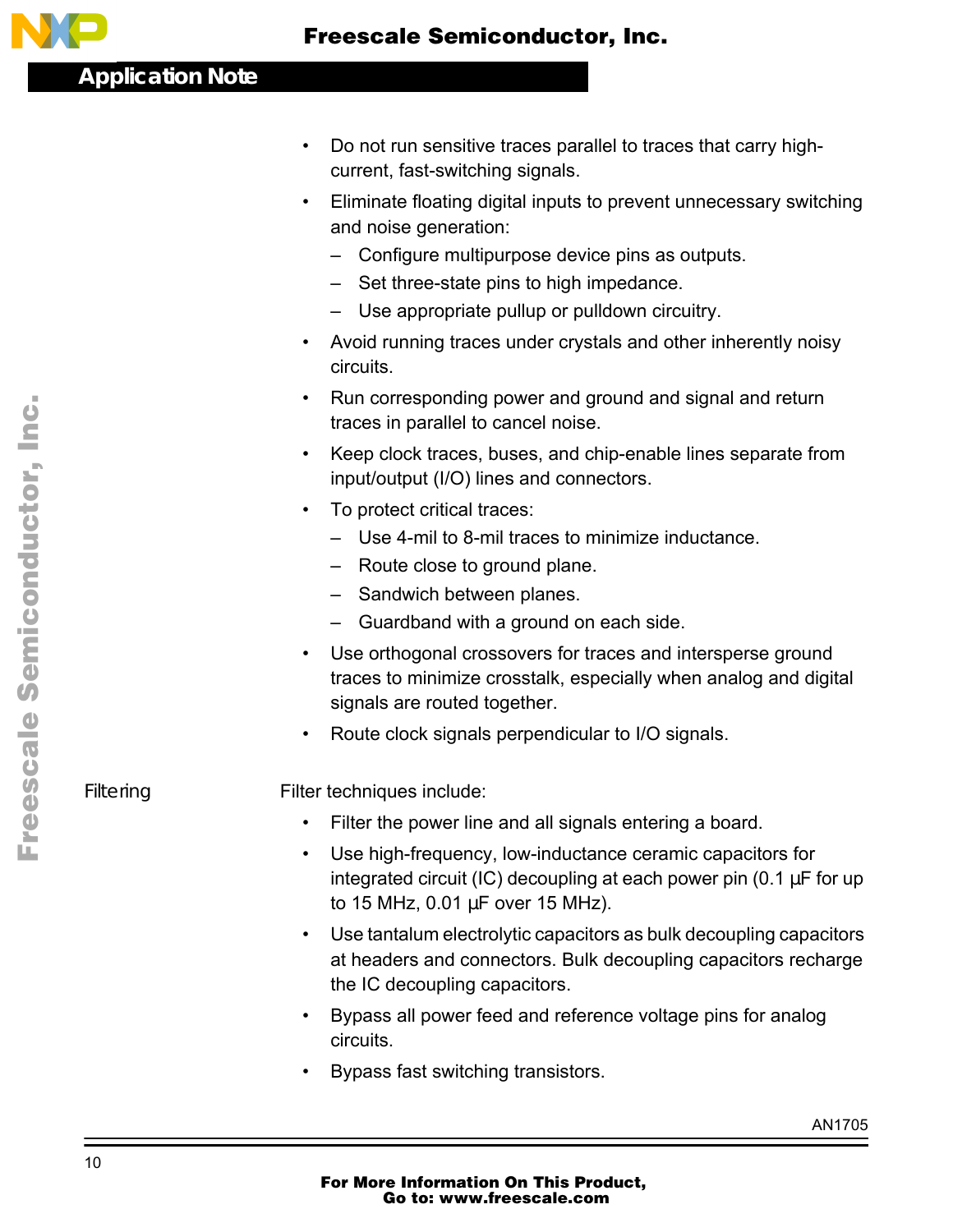

- Do not run sensitive traces parallel to traces that carry highcurrent, fast-switching signals.
- Eliminate floating digital inputs to prevent unnecessary switching and noise generation:
	- Configure multipurpose device pins as outputs.
	- Set three-state pins to high impedance.
	- Use appropriate pullup or pulldown circuitry.
- Avoid running traces under crystals and other inherently noisy circuits.
- Run corresponding power and ground and signal and return traces in parallel to cancel noise.
- Keep clock traces, buses, and chip-enable lines separate from input/output (I/O) lines and connectors.
- To protect critical traces:
	- Use 4-mil to 8-mil traces to minimize inductance.
	- Route close to ground plane.
	- Sandwich between planes.
	- Guardband with a ground on each side.
- Use orthogonal crossovers for traces and intersperse ground traces to minimize crosstalk, especially when analog and digital signals are routed together.
- Route clock signals perpendicular to I/O signals.

Filtering **Filter techniques include:** 

- Filter the power line and all signals entering a board.
- Use high-frequency, low-inductance ceramic capacitors for integrated circuit (IC) decoupling at each power pin (0.1  $\mu$ F for up to 15 MHz, 0.01 µF over 15 MHz).
- Use tantalum electrolytic capacitors as bulk decoupling capacitors at headers and connectors. Bulk decoupling capacitors recharge the IC decoupling capacitors.
- Bypass all power feed and reference voltage pins for analog circuits.
- Bypass fast switching transistors.

o

r, I

n

.<br>ق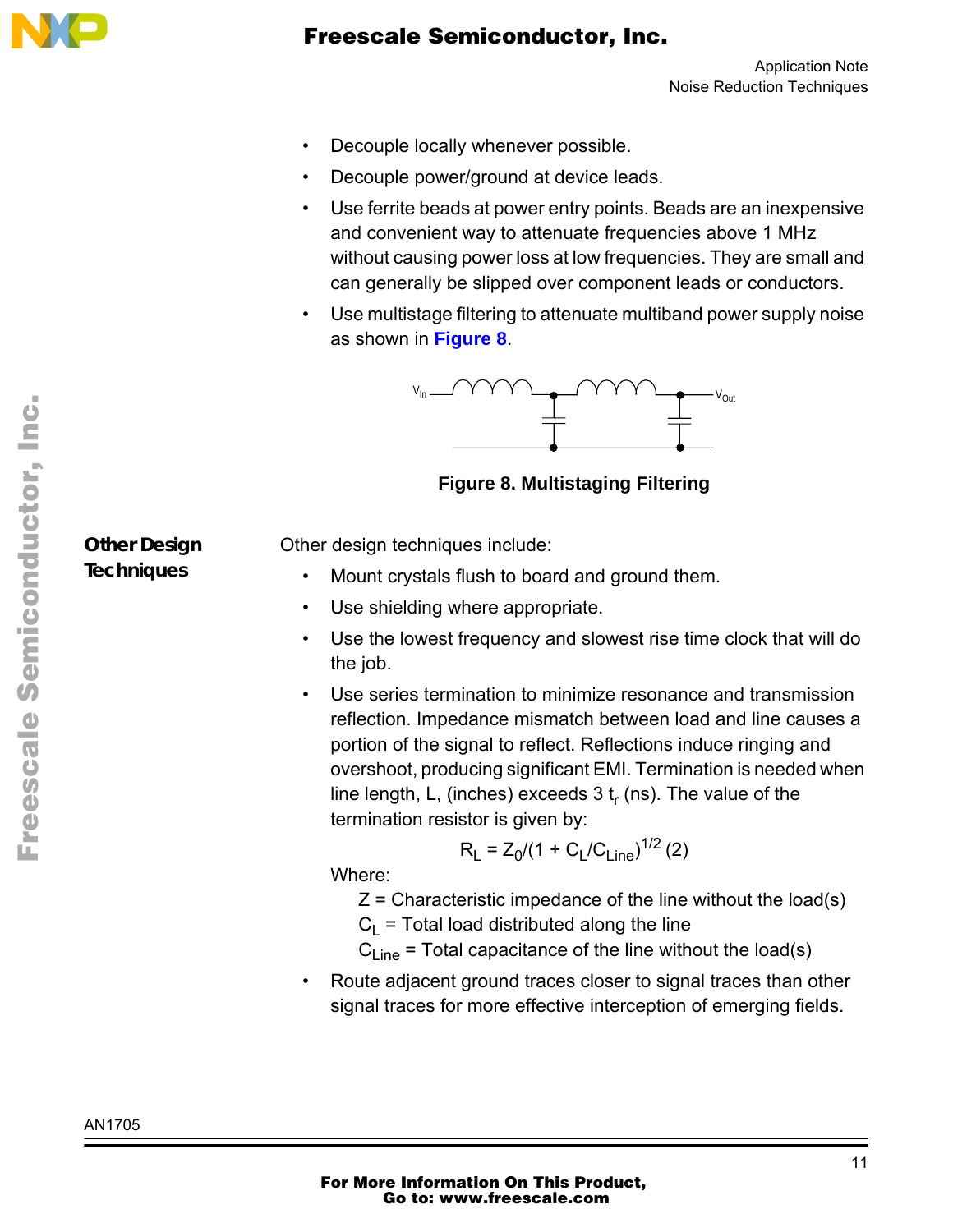

- Decouple locally whenever possible.
- Decouple power/ground at device leads.
- Use ferrite beads at power entry points. Beads are an inexpensive and convenient way to attenuate frequencies above 1 MHz without causing power loss at low frequencies. They are small and can generally be slipped over component leads or conductors.
- Use multistage filtering to attenuate multiband power supply noise as shown in **Figure 8**.



**Figure 8. Multistaging Filtering**

**Other Design Techniques**

Other design techniques include:

- Mount crystals flush to board and ground them.
- Use shielding where appropriate.
- Use the lowest frequency and slowest rise time clock that will do the job.
- Use series termination to minimize resonance and transmission reflection. Impedance mismatch between load and line causes a portion of the signal to reflect. Reflections induce ringing and overshoot, producing significant EMI. Termination is needed when line length, L, (inches) exceeds  $3t_r$  (ns). The value of the termination resistor is given by:

$$
R_L = Z_0/(1 + C_L/C_{Line})^{1/2}
$$
 (2)

Where:

 $Z =$  Characteristic impedance of the line without the load(s)

 $C_1$  = Total load distributed along the line

 $C_{Line}$  = Total capacitance of the line without the load(s)

• Route adjacent ground traces closer to signal traces than other signal traces for more effective interception of emerging fields.